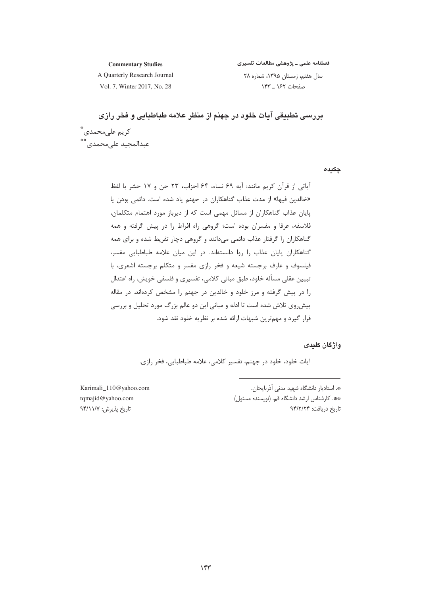فصلنامه علمی ـ پژوهشی مطالعات تفسیری

**Commentary Studies** A Quarterly Research Journal

سال هفتم، زمستان ۱۳۹۵، شماره ۲۸ صفحات ١۶٢ \_ ١۴٣

Vol. 7, Winter 2017, No. 28

دررسی تطبیقی آبات خلود در جهنم از منظر علامه طباطبایی و فخر رازی کر یم علی محمدی ؓ ۔<br>عبدالمجید علیمحمدی\*\*

چکیدہ

آياتي از قرآن كريم مانند: آيه ۶۹ نساء، ۶۴ احزاب، ۲۳ جن و ۱۷ حشر با لفظ «خالدین فیها» از مدت عذاب گناهکاران در جهنم یاد شده است. دائمی بودن یا یایان عذاب گناهکاران از مسائل مهمی است که از دیرباز مورد اهتمام متکلمان، .<br>فلاسفه، عرفا و مفسران بوده است؛ گروهی راه افراط را در پیش گرفته و همه گناهکاران را گرفتار عذاب دائمی میدانند و گروهی دچار تفریط شده و برای همه گناهکاران پایان عذاب را روا دانستهاند. در این میان علامه طباطبایی مفسر، فیلسوف و عارف برجسته شیعه و فخر رازی مفسر و متکلم برجسته اشعری، با تبيين عقلي مسأله خلود، طبق مباني كلامي، تفسيري و فلسفي خويش، راه اعتدال را در پیش گرفته و مرز خلود و خالدین در جهنم را مشخص کردهاند. در مقاله پیشرروی تلاش شده است تا ادله و مبانی این دو عالم بزرگ مورد تحلیل و بررسی قرار گیرد و مهمترین شبهات ارائه شده بر نظریه خلود نقد شود.

### و اژ گان کلیدی

آیات خلود، خلود در جهنم، تفسیر کلامی، علامه طباطبایی، فخر رازی.

\*. استادیار دانشگاه شهید مدنی آذربایجان. \*\*. كارشناس ارشد دانشگاه قم. (نويسنده مسئول) تاريخ دريافت: ۹۴/۲/۲۴

Karimali\_110@yahoo.com tqmajid@yahoo.com تاریخ پذیرش: ۹۴/۱۱/۷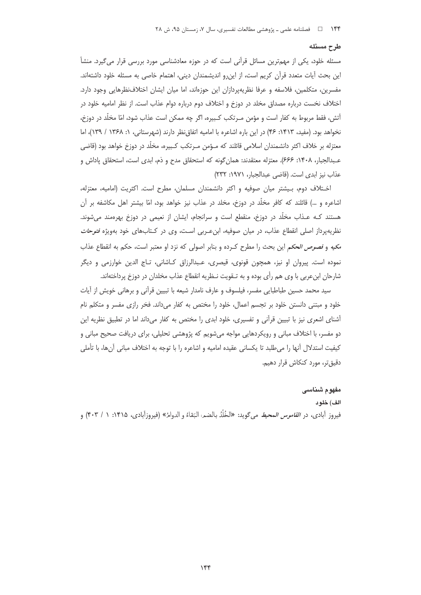### طرح مسئله

مسئله خلود، یکی از مهمترین مسائل قرآنی است که در حوزه معادشناسی مورد بررسی قرار میگیرد. منشأ این بحث آیات متعدد قرآن کریم است، از این رو اندیشمندان دینی، اهتمام خاصی به مسئله خلود داشتهاند. مفسرین، متکلمین، فلاسفه و عرفا نظریهپردازان این حوزهاند، اما میان ایشان اختلافنظرهایی وجود دارد. اختلاف نخست درباره مصداق مخلد در دوزخ و اختلاف دوم درباره دوام عذاب است. از نظر اماميه خلود در آتش، فقط مربوط به کفار است و مؤمن مـرتکب کـبیره، اگر چه ممکن است عذاب شود، امّا مخلّد در دوزخ، نخواهد بود. (مفيد، ١۴١٣: ۴۶) در اين باره اشاعره با اماميه اتفاق نظر دارند (شهرستاني، ١: ١٣۶٨ / ١٣٩)، اما معتزله بر خلاف اکثر دانشمندان اسلامی قائلند که مـؤمن مـرتکب کـبیره، مخلّد در دوزخ خواهد بود (قاضی عـبدالجبار، ١۴٠٨: ۶۶۶). معتزله معتقدند: همان گونه كه استحقاق مدح و ذم، ابدى است، استحقاق پاداش و عذاب نيز ابدى است. (قاضى عبدالجبار، ١٩٧١: ٢٣٢)

اختلاف دوم، بیشتر میان صوفیه و اکثر دانشمندان مسلمان، مطرح است. اکثریت (امامیه، معتزله، اشاعره و …) قائلند که کافر مخلّد در دوزخ، مخلد در عذاب نیز خواهد بود، امّا بیشتر اهل مکاشفه بر آن هستند کـه عـذاب مخلَّد در دوزخ، منقطع است و سرانجام، ایشان از نعیمی در دوزخ بهرهمند میشوند. نظریهپرداز اصلی انقطاع عذاب، در میان صوفیه، ابن عـربی اسـت، وی در کـتابهای خود بهویژه *فتوحات* مكيه و *فصوص الحكم* اين بحث را مطرح كـرده و بنابر اصولى كه نزد او معتبر است، حكم به انقطاع عذاب نموده است. پیروان او نیز، همچون قونوی، قیصری، عـبدالرزاق کـاشانی، تـاج الدین خوارزمی و دیگر شارحان ابن عربی با وی هم رأی بوده و به تـقویت نـظریه انقطاع عذاب مخلدان در دوزخ پرداختهاند.

سید محمد حسین طباطبایی مفسر، فیلسوف و عارف نامدار شیعه با تبیین قرآنی و برهانی خویش از آیات خلود و مبتنی دانستن خلود بر تجسم اعمال، خلود را مختص به کفار میداند. فخر رازی مفسر و متکلم نام أشنای اشعری نیز با تبیین قرأنی و تفسیری، خلود ابدی را مختص به کفار میداند اما در تطبیق نظریه این دو مفسر، با اختلاف مبانی و رویکردهایی مواجه میشویم که پژوهشی تحلیلی، برای دریافت صحیح مبانی و كيفيت استدلال أنها را مى طلبد تا يكساني عقيده اماميه و اشاعره را با توجه به اختلاف مباني آنها، با تأملي دقیق تر، مورد کنکاش قرار دهیم.

### مفهوم شناسى

الف) خلو د فيروز أبادي، در *القاموس المحيط* مي¢ويد: «الخُلْدُ بالضمر البَقاءُ و الدوامُ» (فيروزآبادي، ١۴١۵: ١ / ۴٠٣) و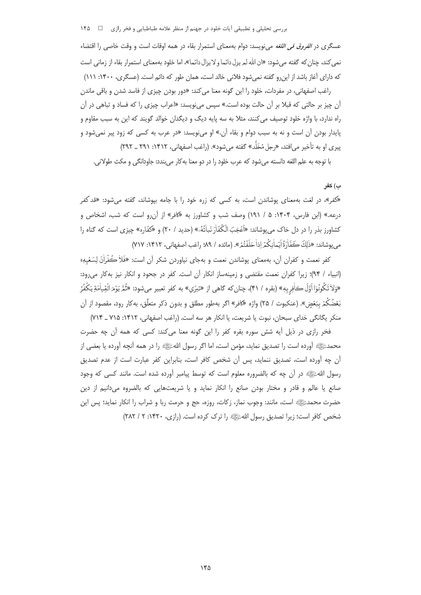بررسی تحلیلی و تطبیقی آیات خلود در جهنم از منظر علامه طباطبایی و فخر رازی □ ۱۴۵

عسگری در *الفروق فی اللغه می ن*ویسد: دوام بهمعنای استمرار بقاء در همه اوقات است و وقت خاصی را اقتضاء نمي كند، چنان كه گفته مي شود: «ان الله لمريزل دائما و لا يزال دائما»، اما خلود بهمعناي استمرار بقاء از زماني است که دارای آغاز باشد از این رو گفته نمی شود فلانی خالد است، همان طور که دائم است. (عسگری، ۱۴۰۰: ۱۱۱)

راغب اصفهانی، در مفردات، خلود را این گونه معنا می کند: «دور بودن چیزی از فاسد شدن و باقی ماندن آن چیز بر حالتی که قبلا بر آن حالت بوده است.» سپس می;نویسد: «اعراب چیزی را که فساد و تباهی در آن راه ندارد، با واژه خلود توصیف می کنند، مثلا به سه پایه دیگ و دیگدان خوالد گویند که این به سبب مقاوم و پایدار بودن آن است و نه به سبب دوام و بقاء آن.» او میiویسد: «در عرب به کسی که زود پیر نمیشود و پیری او به تأخیر می|فتد، «رجل مُخَلَّد» گفته می شود». (راغب اصفهانی، ۱۴۱۲: ۲۹۱ \_ ۲۹۲)

با توجه به علم اللغه دانسته میشود که عرب خلود را در دو معنا بهکار می بندد: جاودانگی و مکث طولانی.

## ب) كفر

«کفر»، در لغت بهمعنای پوشاندن است، به کسی که زره خود را با جامه بپوشاند، گفته میشود: «قد کفر درعه.» (ابن فارس، ۱۴۰۴: ۵ / ۱۹۱) وصف شب و کشاورز به «کافر» از آن و است که شب، اشخاص و كشاورز بذر را در دل خاك می یوشاند: «اَغْجَبَ الْكُفَّاٰرَ نَبِاٰتُهُ.» (حدید / ۲۰) و «كفّاره» چیزی است كه گناه را م روشاند: «ذٰلكَ كَفَّاْرَةُ إِيْماٰنِكُمْ إِذاٰ حَلَفْتُمْ». (مائده / ٩٩، راغب اصفهاني، ١۴١٢: ٧١٧)

کفر نعمت و کفران آن، بهمعنای پوشاندن نعمت و بهجای نیاوردن شکر آن است: «فَلاْ كُفْراْنَ لسَعْیهِ» (انبياء / ٩٣)؛ زيرا كفران نعمت مقتضى و زمينهساز انكار آن است. كفر در جحود و انكار نيز بهكار مى رود: «وَلاٰتَكُونُوٓااأَوَّلَ كَافِرِبِهٖ» (بقره / ۴۱)، چنان كه گاهي از «تبرّي» به كفر تعبير ميشود: «ثُمَّ يَوْمَ الْقِياٰمَةِ يَكْفُرُ بَعْضُكُمْ بِبَعْضٍ». (عنكبوت / ٢۵) واژه «كافر» اگر بهطور مطلق و بدون ذكر متعلَّق، بهكار رود، مقصود از آن منكر يكانكي خداي سبحان، نبوت يا شريعت، يا انكار هر سه است. (راغب اصفهاني، ١۴١٢: ٢١۵ \_ ٧١۴)

فخر رازی در ذیل آیه شش سوره بقره کفر را این گونه معنا میکند: کسی که همه آن چه حضرت محمدﷺ أورده است را تصديق نمايد، مؤمن است، اما اگر رسول اللهﷺ را در همه أنچه أورده يا بعضي از آن چه آورده است، تصدیق ننماید، پس آن شخص کافر است، بنابراین کفر عبارت است از عدم تصدیق رسول اللهﷺ در أن چه که بالضروره معلوم است که توسط پیامبر أورده شده است. مانند کسی که وجود صانع یا عالم و قادر و مختار بودن صانع را انکار نماید و یا شریعتهایی که بالضروه میدانیم از دین حضرت محمدﷺ است، مانند: وجوب نماز، زكات، روزه، حج و حرمت ربا و شراب را انكار نمايد؛ پس اين شخص کافر است؛ زیرا تصدیق رسول اللهﷺ را ترک کرده است. (رازی، ۱۴۲۰: ۲ / ۲۸۲)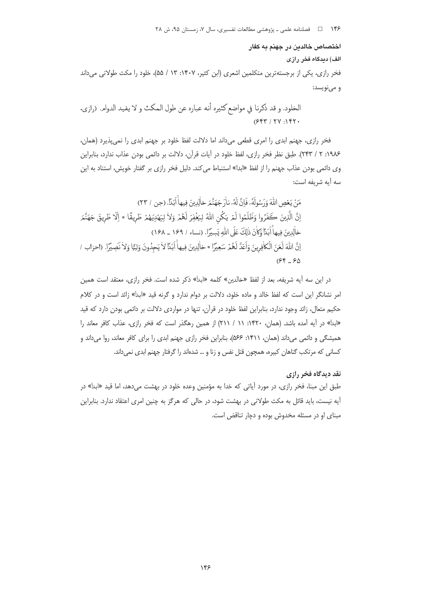اختصاص خالدين در جهنم به كفار

الف) دیدگاه فخر رازی

فخر رازی، یکی از برجستهترین متکلمین اشعری (ابن کثیر، ۱۴۰۷: ۱۳ / ۵۵)، خلود را مکث طولانی می داند و مىنويسد:

فخر رازي، جهنم ابدي را امري قطعي مي داند اما دلالت لفظ خلود بر جهنم ابدي را نمي يذيرد (همان، ۱۹۸۶: ۲ / ۲۴۳). طبق نظر فخر رازي، لفظ خلود در آيات قرآن، دلالت بر دائمي بودن عذاب ندارد، بنابراين وی دائمی بودن عذاب جهنم را از لفظ «ابدا» استنباط می کند. دلیل فخر رازی بر گفتار خویش، استناد به این سه آيه شريفه است:

در این سه آیه شریفه، بعد از لفظ «خالدین» کلمه «ابدا» ذکر شده است. فخر رازی، معتقد است همین امر نشانگر این است که لفظ خالد و ماده خلود، دلالت بر دوام ندارد و گرنه قید «ابد<sup>ا</sup>» زائد است و در کلام حکیم متعال، زائد وجود ندارد، بنابراین لفظ خلود در قرآن، تنها در مواردی دلالت بر دائمی بودن دارد که قید «ابدا» در آیه آمده باشد. (همان، ۱۴۲۰: ۱۱ / ۲۱۱) از همین رهگذر است که فخر رازی، عذاب کافر معاند را همیشگی و دائمی میداند (همان، ۱۴۱۱: ۵۶۶)، بنابراین فخر رازی جهنم ابدی را برای کافر معاند، روا میداند و کسانی که مرتکب گناهان کبیره، همچون قتل نفس و زنا و … شدهاند را گرفتار جهنم ابدی نمی داند.

## نقد دیدگاه فخر رازی

طبق این مبنا، فخر رازی، در مورد آیاتی که خدا به مؤمنین وعده خلود در بهشت میدهد، اما قید «ابد<sup>ا</sup>» در آیه نیست، باید قائل به مکث طولانی در بهشت شود، در حالی که هرگز به چنین امری اعتقاد ندارد. بنابراین مبنای او در مسئله مخدوش بوده و دچار تناقض است.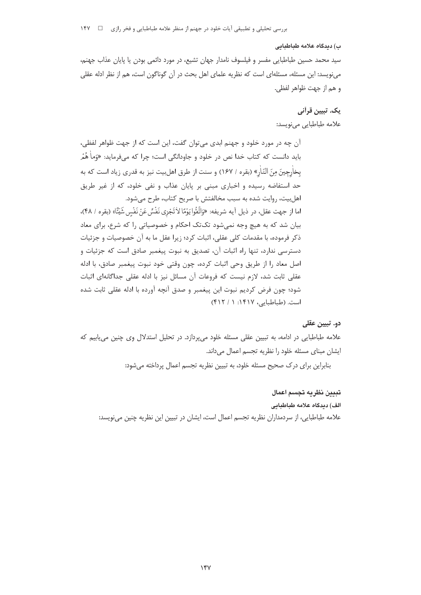ب) دیدگاه علامه طباطنانی سید محمد حسین طباطبایی مفسر و فیلسوف نامدار جهان تشیع، در مورد دائمی بودن یا پایان عذاب جهنم، می نویسد: این مسئله، مسئلهای است که نظریه علمای اهل بحث در آن گوناگون است، هم از نظر ادله عقلی

و هم از جهت ظواهر لفظي.

# يک. تبيين قرآني

علامه طباطبايي مي نويسد:

آن چه در مورد خلود و جهنم ابدی می توان گفت، این است که از جهت ظواهر لفظی، باید دانست که کتاب خدا نص در خلود و جاودانگی است؛ چرا که م<sub>عا</sub>فرماید: «وَماٰ هُمُر بخاْرِجِينَ مِنَ النّارِ» (بقره / ١۶٧) و سنت از طرق اهل بيت نيز به قدري زياد است كه به حد استفاضه رسیده و اخباری مبنی بر پایان عذاب و نفی خلود، که از غیر طریق اهل بيت، روايت شده به سبب مخالفتش با صريح كتاب، طرح مي شود. اما از جهت عقل، در ذيل آيه شريفه: «وَاتَّقُوا يَوْمًا لاٰ تَجْزِي نَفْسٌ عَنْ نَفْسٍ شَيْئًا» (بقره / ۴۸)، بیان شد که به هیچ وجه نمی شود تکتک احکام و خصوصیاتی را که شرع، برای معاد ذکر فرموده، با مقدمات کلی عقلی، اثبات کرد؛ زیرا عقل ما به آن خصوصیات و جزئیات دسترسی ندارد، تنها راه اثبات آن، تصدیق به نبوت پیغمبر صادق است که جزئیات و اصل معاد را از طريق وحي اثبات كرده، چون وقتي خود نبوت پيغمبر صادق، با ادله عقلی ثابت شد، لازم نیست که فروعات آن مسائل نیز با ادله عقلی جداگانهای اثبات شود؛ چون فرض کردیم نبوت این پیغمبر و صدق آنچه آورده با ادله عقلی ثابت شده است. (طباطبایی، ۱۴۱۷: ۱ / ۴۱۲)

# دو. تبيين عقلي

علامه طباطبایی در ادامه، به تبیین عقلی مسئله خلود می پردازد. در تحلیل استدلال وی چنین می یابیم که ایشان مبنای مسئله خلود را نظریه تجسم اعمال میداند.

بنابراین برای درک صحیح مسئله خلود، به تبیین نظریه تجسم اعمال پرداخته میشود:

# تبيين نظريه تجسم اعمال

الف) ديدگاه علامه طباطبايي

علامه طباطبایی، از سردمداران نظریه تجسم اعمال است، ایشان در تبیین این نظریه چنین می،نویسد: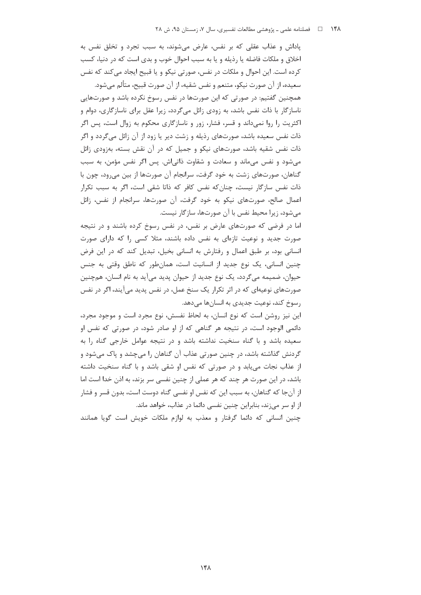ياداش و عذاب عقلي كه بر نفس، عارض مي شوند، به سبب تجرد و تخلق نفس به اخلاق و ملكات فاضله يا رذيله و يا به سبب احوال خوب و بدى است كه در دنيا، كسب کرده است. این احوال و ملکات در نفس، صورتی نیکو و یا قبیح ایجاد میکند که نفس

سعيده، از آن صورت نيكو، متنعم و نفس شقيه، از آن صورت قبيح، متألم ميشود. همچنین گفتیم: در صورتی که این صورتها در نفس رسوخ نکرده باشد و صورتهایی ناسازگار با ذات نفس باشد، به زودی زائل میگردد، زیرا عقل برای ناسازگاری، دوام و اکثریت را روا نمیداند و قسر، فشار، زور و ناسازگاری محکوم به زوال است، پس اگر ذات نفس سعیده باشد، صورتهای رذیله و زشت دیر یا زود از آن زائل میگردد و اگر ذات نفس شقیه باشد، صورتهای نیکو و جمیل که در آن نقش بسته، بهزودی زائل می شود و نفس میماند و سعادت و شقاوت ذاتی اش. پس اگر نفس مؤمن، به سبب گناهان، صورتهای زشت به خود گرفت، سرانجام آن صورتها از بین میرود، چون با ذات نفس سازگار نیست، چنانکه نفس کافر که ذاتا شقی است، اگر به سبب تکرار اعمال صالح، صورتهای نیکو به خود گرفت، آن صورتها، سرانجام از نفس، زائل می شود، زیرا محیط نفس با آن صورتها، سازگار نیست.

اما در فرضی که صورتهای عارض بر نفس، در نفس رسوخ کرده باشند و در نتیجه صورت جدید و نوعیت تازهای به نفس داده باشند، مثلا کسی را که دارای صورت انسانی بود، بر طبق اعمال و رفتارش به انسانی بخیل، تبدیل کند که در این فرض چنین انسانی، یک نوع جدید از انسانیت است، همانطور که ناطق وقتی به جنس حیوان، ضمیمه میگردد، یک نوع جدید از حیوان پدید میآید به نام انسان، همچنین صورتهای نوعیهای که در اثر تکرار یک سنخ عمل، در نفس پدید می آیند، اگر در نفس رسوخ کند، نوعیت جدیدی به انسانها میدهد.

این نیز روشن است که نوع انسان، به لحاظ نفسش، نوع مجرد است و موجود مجرد، دائمی الوجود است، در نتیجه هر گناهی که از او صادر شود، در صورتی که نفس او سعیده باشد و با گناه سنخیت نداشته باشد و در نتیجه عوامل خارجی گناه را به گردنش گذاشته باشد، در چنین صورتی عذاب آن گناهان را می چشد و پاک می شود و از عذاب نجات می یابد و در صورتی که نفس او شقی باشد و با گناه سنخیت داشته باشد، در این صورت هر چند که هر عملی از چنین نفسی سر بزند، به اذن خدا است اما از آنجا که گناهان، به سبب این که نفس او نفسی گناه دوست است، بدون قسر و فشار از او سر میزند، بنابراین چنین نفسی دائما در عذاب، خواهد ماند.

چنین انسانی که دائما گرفتار و معذب به لوازم ملکات خویش است گویا همانند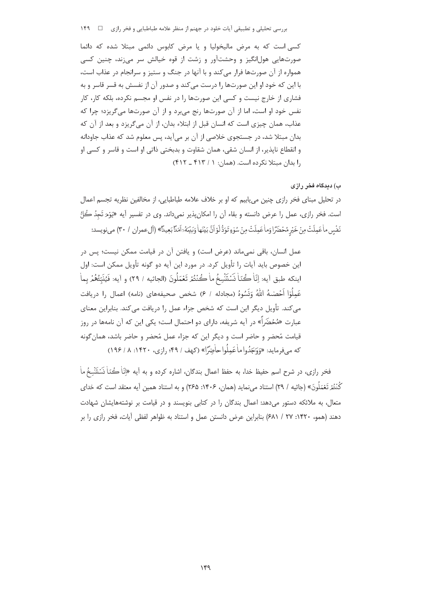بررسی تحلیلی و تطبیقی آیات خلود در جهنم از منظر علامه طباطبایی و فخر رازی ه سی ۱۴۹

کسی است که به مرض مالیخولیا و یا مرض کابوس دائمی مبتلا شده که دائما صورتهایی هولانگیز و وحشتآور و زشت از قوه خیالش سر میزند، چنین کسی همواره از آن صورتها فرار میکند و با آنها در جنگ و ستیز و سرانجام در عذاب است، با این که خود او این صورتها را درست می کند و صدور آن از نفسش به قسر قاسر و به فشاری از خارج نیست و کسی این صورتها را در نفس او مجسم نکرده، بلکه کار، کار نفس خود او است، اما از آن صورتها رنج می برد و از آن صورتها میگریزد؛ چرا که عذاب، همان چیزی است که انسان قبل از ابتلاء بدان، از آن می گریزد و بعد از آن که بدان مبتلا شد، در جستجوی خلاصی از آن بر میآید، پس معلوم شد که عذاب جاودانه و انقطاع ناپذیر، از انسان شقی، همان شقاوت و بدبختی ذاتی او است و قاسر و کسی او را بدان مبتلا نكرده است. (همان: ١ / ۴۱۳ ـ ۴۱۲)

ب) دیدگاه فخر رازی

در تحلیل مبنای فخر رازی چنین می پاییم که او بر خلاف علامه طباطبایی، از مخالفین نظریه تجسم اعمال است. فخر رازي، عمل را عرض دانسته و بقاء آن را امكان پذير نميداند. وي در تفسير آيه «يَوْمَ تَجِدُ حُلُّ نَفْس ماْعَمِلَتْ مِنْ خَيْرٍ مُحْضَرًا وَماْعَمِلَتْ مِنْ سُوِّءٍ تَوَدُّلُوْ أَنَّ بَيْنَهَاٰ وَبَيْعُهُ ٓ أهَدَّا بَعِيدًا﴾ (أل عمران ١ ٣٠) مي نويسد:

عمل انسان، باقی نمی،ماند (عرض است) و یافتن آن در قیامت ممکن نیست؛ پس در این خصوص باید آیات را تأویل کرد. در مورد این آیه دو گونه تأویل ممکن است: اول اينكه طبق آيه: اِنّاْ كُنّاْ نَسَنَتْسِخُ ماْ كُنْتُمْ تَعْمَلُونَ (الجاثيه / ٢٩) و آيه: فَيُنَبِّئُهُمْ بماٰ عَمِلُوٓا اَحۡصَـٰـهُ اللَّهُ وَنَسُوهُ (مجادله / ۶) شخص صحيفههاى (نامه) اعمال ,ا دريافت می کند. تأویل دیگر این است که شخص جزاء عمل را دریافت می کند. بنابراین معنای عبارت «مُحْضَراً» در آیه شریفه، دارای دو احتمال است؛ یکی این که آن نامهها در روز قیامت مُحضر و حاضر است و دیگر این که جزاء عمل مُحضر و حاضر باشد، همان گونه 

فخر رازي، در شرح اسم حفيظ خدا، به حفظ اعمال بندگان، اشاره كرده و به آيه «إنّاْ كُتاْ نَسَتَنْسِخُ ماْ كُنْتُمْ تَعْمَلُونَ» (جاثيه / ٢٩) استناد ميiمايد (همان، ١۴٠۶: ٢۶۵) و به استناد همين آيه معتقد است كه خداي متعال، به ملائکه دستور میدهد: اعمال بندگان را در کتابی بنویسند و در قیامت بر نوشتههایشان شهادت دهند (همو، ۱۴۲۰: ۲۷ / ۶۸۱) بنابراین عرض دانستن عمل و استناد به ظواهر لفظی آیات، فخر رازی را بر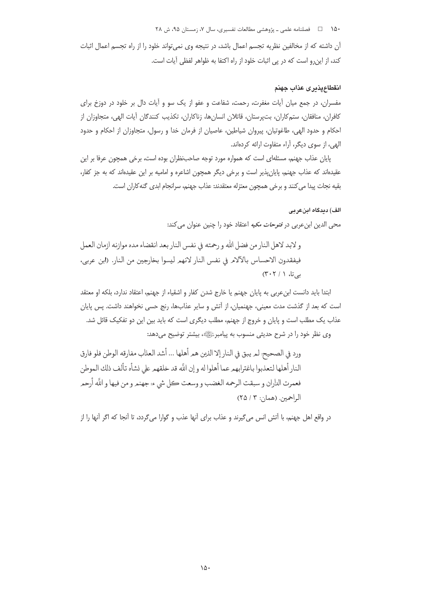۱۵۰ هـ استان اسه علمي ـ پژوهشي مطالعات تفسيري، سال ۷، زمستان ۹۵، ش ۲۸

آن داشته که از مخالفین نظریه تجسم اعمال باشد، در نتیجه وی نمی تواند خلود را از راه تجسم اعمال اثبات كند، از اين رو است كه در پي اثبات خلود از راه اكتفا به ظواهر لفظي آيات است.

### انقطاعپذيرى عذاب جهنم

مفسران، در جمع میان آیات مغفرت، رحمت، شفاعت و عفو از یک سو و آیات دال بر خلود در دوزخ برای كافران، منافقان، ستمكاران، بت¤ستان، قاتلان انسانها، زناكاران، تكذيب كنندگان آيات الهي، متجاوزان از احکام و حدود الهی، طاغوتیان، پیروان شیاطین، عاصیان از فرمان خدا و رسول، متجاوزان از احکام و حدود الهي، از سوى ديگر، آراء متفاوت ارائه كردهاند.

یایان عذاب جهنم، مسئلهای است که همواره مورد توجه صاحبنظران بوده است، برخی همچون عرفا بر این عقیدهاند که عذاب جهنم، پایان پذیر است و برخی دیگر همچون اشاعره و امامیه بر این عقیدهاند که به جز کفار، بقيه نجات پيدا مي كنند و برخي همچون معتزله معتقدند: عذاب جهنم، سرانجام ابدي گنه كاران است.

### الف) دیدگاہ اینعربے

محي الدين ابنءربي در *فتوحات مكيه* اعتقاد خود را چنين عنوان مي كند:

و لابد لاهل النار من فضل الله و رحمته في نفس النار بعد انقضاء مده موازنه ازمان العمل فيفقدون الاحساس بالآلام في نفس النار لانهم ليسوا بخارجين من النار. (ابن عربي، بے تا، ١ / ٣٠٢)

ابتدا بايد دانست ابن عربي به پايان جهنم يا خارج شدن كفار و اشقياء از جهنم، اعتقاد ندارد، بلكه او معتقد است که بعد از گذشت مدت معینی، جهنمیان، از آتش و سایر عذابها، رنج حسی نخواهند داشت. پس پایان عذاب یک مطلب است و پایان و خروج از جهنم، مطلب دیگری است که باید بین این دو تفکیک قائل شد. وی نظر خود را در شرح حدیثی منسوب به پیامبرﷺ، بیشتر توضیح میدهد:

ورد في الصحيح لمر يبق في النار إلا الذين هم أهلها ... أشد العذاب مفارقه الوطن فلو فارق النار أهلها لتعذبوا باغترابهم عما أهلوا له و إن اللَّه قد خلقهم على نشأه تألف ذلك الموطن فعمرت الداران و سبقت الرحمه الغضب و وسعت ڪل شيء؛ جهنمر و من فيها و اللَّه أرحمر الراحمين. (همان: ٣ / ٢٥)

در واقع اهل جهنم، با اُتش انس می گیرند و عذاب برای آنها عذب و گوارا می گردد، تا اُنجا که اگر آنها را از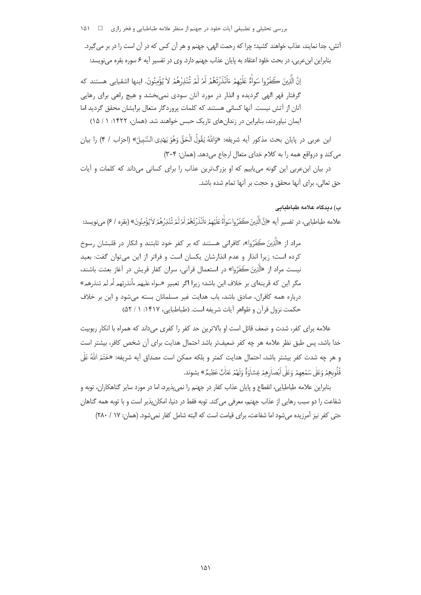بررسی تحلیلی و تطبیقی آیات خلود در جهنم از منظر علامه طباطبایی و فخر رازی ⊥ 1۵۱–۱۵۱

آتش، جدا نمایند، عذاب خواهند کشید؛ چرا که رحمت الهی، جهنم و هر آن کس که در آن است را در بر می گیرد. بنابراین ابنءربی، در بحث خلود اعتقاد به پایان عذاب جهنم دارد. وی در تفسیر آیه ۶ سوره بقره می نویسد:

إِنَّ الَّذِينَ كَفَرُوا سَواْءٌ عَلَيْهِمْ ءَاَنْذَرْتَعُمْ اَمْرْ لَمْرِ تُنْذِرْهُمْ لاٰ يُؤْمِنُونَ. اينها اشقيايي هستند كه گرفتار قهر الهی گردیده و انذار در مورد آنان سودی نمی,بخشد و هیچ راهی برای رهایی آنان از آتش نیست. آنها کسانی هستند که کلمات پروردگار متعال برایشان محقق گردید اما ایمان نیاوردند، بنابراین در زندانهای تاریک حبس خواهند شد. (همان، ۱۴۲۲: ۱ / ۱۵)

ابن عربي در پايان بحث مذكور آيه شريفه: «وَاللّهُ يَقُولُ الْحَقَّ وَهُوَ يَهْدِي السَّبِيلَ» (احزاب / ۴) را بيان می کند و درواقع همه را به کلام خدای متعال ارجاع می دهد. (همان: ۳۰۴)

در بیان ابن عربی این گونه می یابیم که او بزرگترین عذاب را برای کسانی می داند که کلمات و آیات حق تعالى، براي آنها محقق و حجت بر آنها تمام شده باشد.

## ب) ديدگاه علامه طباطبايي

علامه طباطبايي، در تفسير آيه «إنَّ الَّذِينَ كَفَرُوا سَواْءٌ عَلَيْهِمْ ءَاَنْذَرْتَعُمْ اَمْرْلَمْ تُنْذِرْهُمْ لاٰ يُؤْمِنُونَ» (بقره / ۶) مي نويسد:

مراد از «الَّذِينَ كَفَرُوا»، كافراني هستند كه بر كفر خود ثابتند و انكار در قلبشان رسوخ كرده است؛ زيرا انذار و عدم انذارشان يكسان است و فراتر از اين مى توان گفت: بعيد نيست مراد از «الَّذِينَ كَفَرُوا» در استعمال قرآني، سران كفار قريش در آغاز بعثت باشند، مگر این که قرینهای بر خلاف این باشد؛ زیرا اگر تعبیر «سواء علیهم ءأنذرتهم أمرلمرتنذرهم» درباره همه كافران، صادق باشد، باب هدايت غير مسلمانان بسته مى شود و اين بر خلاف حكمت نزول قرآن و ظواهر آيات شريفه است. (طباطبايي، ١۴١٧: ١ / ۵٢)

علامه برای کفر، شدت و ضعف قائل است او بالاترین حد کفر را کفری می داند که همراه با انکار ربوبیت خدا باشد، پس طبق نظر علامه هر چه كفر ضعيفتر باشد احتمال هدايت براى آن شخص كافر، بيشتر است و هر چه شدت کفر بیشتر باشد، احتمال هدایت کمتر و بلکه ممکن است مصداق آیه شریفه: «خَتَمَ اللَّهُ عَلٰی قُلُوبِهِمْ وَعَلَى سَمْعِهِمْ وَعَلَى اَبْصارِهِمْ غِشاٰوَةً وَلَهُمْ عَذَابٌ عَظِيمٌ» بِشوند.

بنابراین علامه طباطبایی، انقطاع و پایان عذاب کفار در جهنم را نمیپذیرد، اما در مورد سایر گناهکاران، توبه و شفاعت را دو سبب رهایی از عذاب جهنم، معرفی می کند. توبه فقط در دنیا، امکان پذیر است و با توبه همه گناهان حتی کفر نیز آمرزیده می شود اما شفاعت، برای قیامت است که البته شامل کفار نمی شود. (همان: ۱۷ / ۲۸۰)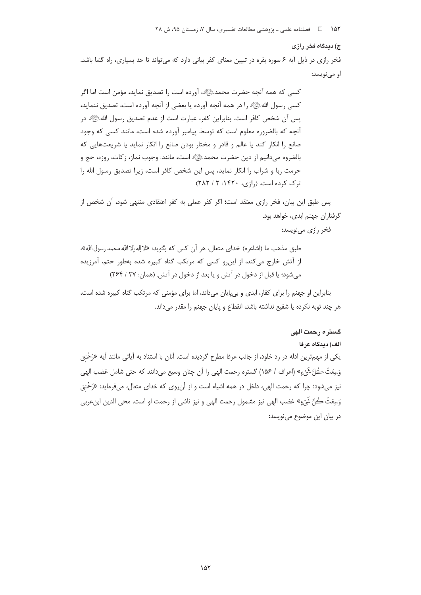#### ج) دیدگاه فخر رازی

فخر رازی در ذیل آیه ۶ سوره بقره در تبیین معنای کفر بیانی دارد که می تواند تا حد بسیاری، راه گشا باشد. او مے نویسد:

كسي كه همه آنچه حضرت محمدﷺ، آورده است را تصديق نمايد، مؤمن است اما اگر كسي رسول اللهﷺ را در همه آنچه آورده يا بعضي از آنچه آورده است، تصديق ننمايد، يس آن شخص كافر است. بنابراين كفر، عبارت است از عدم تصديق رسول اللهﷺ در آنچه که بالضروره معلوم است که توسط پیامبر آورده شده است، مانند کسی که وجود صانع را انکار کند یا عالم و قادر و مختار بودن صانع را انکار نماید یا شریعتهایی که بالضروه ميدانيم از دين حضرت محمدﷺ است، مانند: وجوب نماز، زكات، روزه، حج و حرمت ربا و شراب را انكار نمايد، پس اين شخص كافر است، زيرا تصديق رسول الله را  $(TAT / 7.197 \cdot (7.191)$  ترک کرده است. (۱; ی، ۱۴۲۰: ۲

پس طبق این بیان، فخر رازی معتقد است؛ اگر کفر عملی به کفر اعتقادی منتهی شود، آن شخص از گرفتاران جهنم ابدی، خواهد بود.

فخر رازي مي نويسد:

طبق مذهب ما (اشاعره) خداي متعال، هر آن كس كه بگويد: «لا إله إلاالله محمد رسول الله»، از آتش خارج می کند، از این و کسی که مرتکب گناه کبیره شده بهطور حتم، آمرزیده مي شود؛ يا قبل از دخول در آتش و يا بعد از دخول در آتش. (همان: ٢٧ / ٢۶۴)

بنابراین او جهنم را برای کفار، ابدی و بی پایان می داند، اما برای مؤمنی که مرتکب گناه کبیره شده است، هر چند توبه نکرده یا شفیع نداشته باشد، انقطاع و پایان جهنم را مقدر مے داند.

### گستره رحمت الهی

#### الف) ديدگاه عرفا

یکی از مهمترین ادله در رد خلود، از جانب عرفا مطرح گردیده است. آنان با استناد به آیاتی مانند آیه «رَحْمَ<sub>ّ</sub>یّ وَسِعَتْ كُلَّ شَيْءٍ» (اعراف / ١۵۶) گستره رحمت الهي را آن چنان وسيع مي<انند كه حتى شامل غضب الهي نیز میشود؛ چرا که رحمت الهی، داخل در همه اشیاء است و از آنروی که خدای متعال، میفرماید: «رَحْمَ<sub>کّی</sub> وَسِعَتْ كُلَّ شَيْءٍ» غضب الهي نيز مشمول رحمت الهي و نيز ناشي از رحمت او است. محي الدين ابنِ ربي در بيان اين موضوع مي نويسد: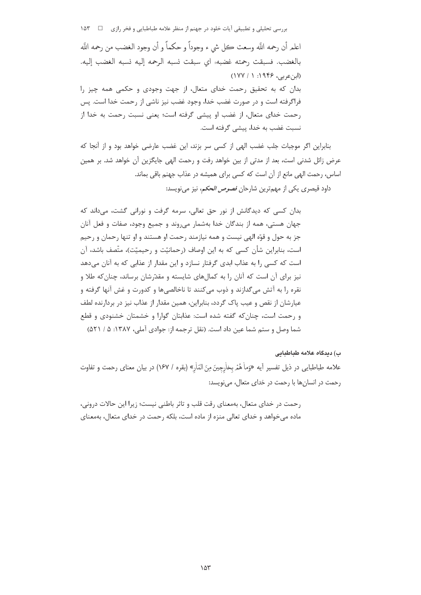بررسی تحلیلی و تطبیقی آیات خلود در جهنم از منظر علامه طباطبایی و فخر رازی ⊥P × 1۵۳ اعلمر أن رحمه اللَّه وسعت كل شيء وجوداً و حكماً و أن وجود الغضب من رحمه اللَّه بالغضب. فسبقت رحمته غضبه؛ اي سبقت نسبه الرحمه إليه نسبه الغضب إليه. (ابن عربی، ۱۹۴۶: ۱۷۷۱) بدان که به تحقیق رحمت خدای متعال، از جهت وجودی و حکمی همه چیز را فراگرفته است و در صورت غضب خدا، وجود غضب نیز ناشی از رحمت خدا است. پس رحمت خدای متعال، از غضب او پیشی گرفته است؛ یعنی نسبت رحمت به خدا از نسبت غضب به خدا، پیشی گرفته است.

بنابراین اگر موجبات جلب غضب الهی از کسی سر بزند، این غضب عارضی خواهد بود و از آنجا که عرض زائل شدنی است، بعد از مدتی از بین خواهد رفت و رحمت الهی جایگزین آن خواهد شد. بر همین اساس، رحمت الهی مانع از آن است که کسی برای همیشه در عذاب جهنم باقی بماند. داود قیصری یکی از مهمترین شارحان *فصوص الحکم*، نیز میفویسد:

بدان کسی که دیدگانش از نور حق تعالی، سرمه گرفت و نورانی گشت، میداند که جهان هستي، همه از بندگان خدا بهشمار مي,روند و جميع وجود، صفات و فعل آنان جز به حول و قوَّه الهي نيست و همه نيازمند رحمت او هستند و او تنها رحمان و رحيم است، بنابراین شأن کسی که به این اوصاف (رحمانیّت و رحیمیّت)، متّصف باشد، آن است که کسی را به عذاب ابدی گرفتار نسازد و این مقدار از عذابی که به آنان می دهد نیز برای آن است که آنان را به کمالهای شایسته و مقدّرشان برساند، چنان که طلا و نقره را به آتش می گدازند و ذوب می کنند تا ناخالصیها و کدورت و غش آنها گرفته و عیارشان از نقص و عیب پاک گردد، بنابراین، همین مقدار از عذاب نیز در بردارنده لطف و رحمت است، چنان که گفته شده است: عذابتان گوارا و خشمتان خشنودی و قطع شما وصل و ستم شما عین داد است. (نقل ترجمه از: جوادی آملی، ۱۳۸۷: ۵ / ۵۲۱)

### ب) دىدگاە علامە طىاطىاىي

علامه طباطبايي در ذيل تفسير آيه «وَماْ هُمْ بخاْرِجِينَ مِنَ النّارِ» (بقره / ١۶٧) در بيان معناي رحمت و تفاوت رحمت در انسانها با رحمت در خدای متعال، می نویسد:

رحمت در خدای متعال، بهمعنای رقت قلب و تاثر باطنی نیست؛ زیرا این حالات درونی، ماده می خواهد و خدای تعالی منزه از ماده است، بلکه رحمت در خدای متعال، بهمعنای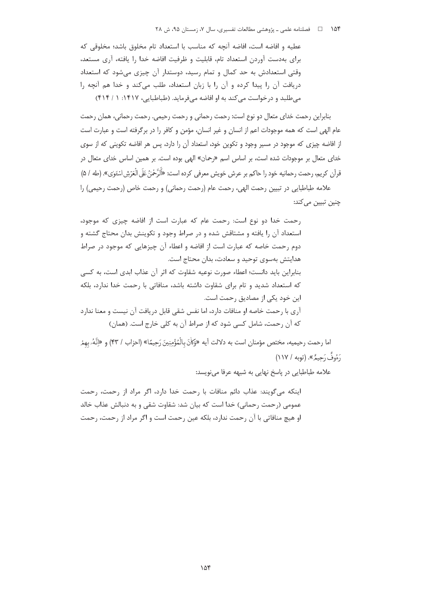عطيه و افاضه است، افاضه آنچه كه مناسب با استعداد تام مخلوق باشد؛ مخلوقی كه برای بهدست آوردن استعداد تام، قابلیت و ظرفیت افاضه خدا را یافته، آری مستعد، وقتی استعدادش به حد کمال و تمام رسید، دوستدار آن چیزی میشود که استعداد دریافت آن را پیدا کرده و آن را با زبان استعداد، طلب میکند و خدا هم آنچه را می طلبد و در خواست می کند به او افاضه می فرماید. (طباطبایی، ۱۴۱۷: ۱ / ۴۱۴)

بنابراین رحمت خدای متعال دو نوع است: رحمت رحمانی و رحمت رحیمی. رحمت رحمانی، همان رحمت عام الهي است كه همه موجودات اعم از انسان و غير انسان، مؤمن و كافر را در برگرفته است و عبارت است ز افاضه چیزی که موجود در مسیر وجود و تکوین خود، استعداد آن را دارد، پس هر افاضه تکوینی که از سوی خدای متعال بر موجودات شده است، بر اساس اسم «رحمان» الهی بوده است. بر همین اساس خدای متعال در قرآن كريم، رحمت رحمانيه خود را حاكم بر عرش خويش معرفي كرده است: «أَلَرَّحْنُ عَلَى الْعَرْشِ اسْتَوٰى». (طه / ۵) علامه طباطبایی در تبیین رحمت الهی، رحمت عام (رحمت رحمانی) و رحمت خاص (رحمت رحیمی) را

چنین تبیین مے کند:

رحمت خدا دو نوع است: رحمت عام که عبارت است از افاضه چیزی که موجود، استعداد آن را یافته و مشتاقش شده و در صراط وجود و تکوینش بدان محتاج گشته و دوم رحمت خاصه كه عبارت است از افاضه و اعطاء آن چيزهايي كه موجود در صراط هدايتش بهسوي توجيد و سعادت، بدان محتاج است. بنابراین باید دانست؛ اعطاء صورت نوعیه شقاوت که اثر آن عذاب ابدی است، به کسی

که استعداد شدید و تام برای شقاوت داشته باشد، منافاتی با رحمت خدا ندارد، بلکه این خود یکی از مصادیق رحمت است. آری با رحمت خاصه او منافات دارد، اما نفس شقی قابل دریافت آن نیست و معنا ندارد

که آن رحمت، شامل کسی شود که از صراط آن به کلی خارج است. (همان)

اما رحمت رحيميه، مختص مؤمنان است به دلالت آيه «وَكاٰنَ بِالْمُؤْمِنِينَ رَحِيمًا» (احزاب / ۴۳) و «إِنَّهُۥ بهمْ رَءُوفٌ رَحِيمٌ». (توبه / ١١٧)

علامه طباطبایی در پاسخ نهایی به شبهه عرفا مینویسد:

اینکه می گویند: عذاب دائم منافات با رحمت خدا دارد، اگر مراد از رحمت، رحمت عمومی (رحمت رحمانی) خدا است که بیان شد: شقاوت شقی و به دنبالش عذاب خالد او هیچ منافاتی با آن رحمت ندارد، بلکه عین رحمت است و اگر مراد از رحمت، رحمت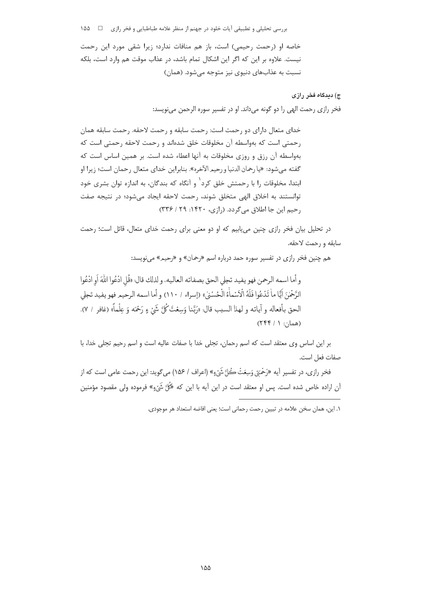بررسی تحلیلی و تطبیقی آیات خلود در جهنم از منظر علامه طباطبایی و فخر رازی ⊥ \_\_ ۱۵۵

خاصه او (رحمت رحیمی) است، باز هم منافات ندارد؛ زیرا شقی مورد این رحمت نیست. علاوه بر این که اگر این اشکال تمام باشد، در عذاب موقت هم وارد است، بلکه نسبت به عذابهای دنیوی نیز متوجه میشود. (همان)

> ج) دېدگاه فخر رازې فخر رازی رحمت الهی را دو گونه میداند. او در تفسیر سوره الرحمن مینویسد:

خدای متعال دارای دو رحمت است: رحمت سابقه و رحمت لاحقه. رحمت سابقه همان رحمتي است كه بهواسطه آن مخلوقات خلق شدهاند و رحمت لاحقه رحمتي است كه بهواسطه آن رزق و روزی مخلوقات به آنها اعطاء شده است. بر همین اساس است که گفته ميشود: «يا رحمان الدنيا ورحيم الآخره». بنابراين خداي متعال رحمان است؛ زيرا او ابتدا، مخلوقات ,ا با ,حمتش خلق کرد<sup>\</sup> و آنگاه که بندگان، به اندازه توان بشری خود توانستند به اخلاق الهي متخلق شوند، رحمت لاحقه ايجاد مي شود؛ در نتيجه صفت رحيم اين جا اطلاق مي گردد. (رازي، ١۴٢٠: ٢٩ / ٣٣۶)

در تحلیل بیان فخر رازی چنین می پاییم که او دو معنی برای رحمت خدای متعال، قائل است؛ رحمت سابقه و رحمت لاحقه.

هم چنین فخر رازی در تفسیر سوره حمد درباره اسم «رحمان» و «رحیم» می نویسد:

و أما اسمه الرحمن فهو يفيد تجلى الحق بصفاته العاليه، و لذلك قال: «قُل ادْعُوا اللَّهَ أو ادْعُوا الرَّحْمٰنَ أَيًّا ماٰ تَدْعُوا فَلَهُ الْاَسْماَءُ الْحُسْنِٰ)» (إسراء / ١١٠) و أما اسمه الرحيم فهو يفيد تجلى الحق بأفعاله و آياته و لهذا السبب قال: «رَبَّنا وَسِعْتَ كُلَّ شَيْ ءٍ رَحْمَه وَ عِلْماً» (غافر / ٧).  $(755 / 1 : \cdot \cdot \cdot)$ 

بر این اساس وی معتقد است که اسم رحمان، تجلی خدا با صفات عالیه است و اسم رحیم تجلی خدا، با صفات فعل است.

فخر رازي، در تفسير آيه «رَحْمَ<sub>ّي وَسِ</sub>عَتْ كُلَّ شَيْءٍ» (اعراف / ١۵۶) مي گويد: اين رحمت عامي است كه از آن اراده خاص شده است. پس او معتقد است در این آیه با این که «کُلَّ شَیْءٍ» فرموده ولی مقصود مؤمنین

١. اين، همان سخن علامه در تبيين رحمت رحماني است؛ يعني افاضه استعداد هر موجودي.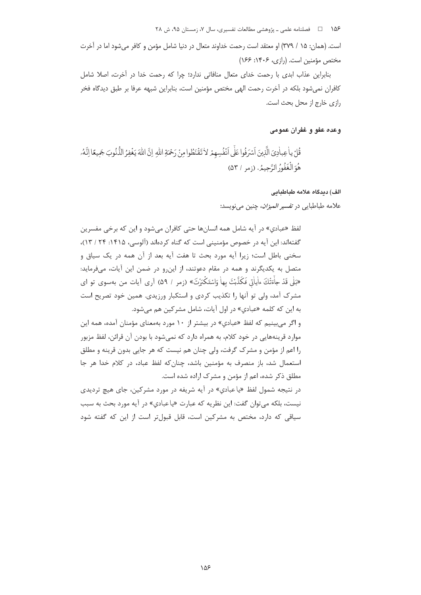است. (همان: ۱۵ / ۳۷۹) او معتقد است رحمت خداوند متعال در دنیا شامل مؤمن و کافر می شود اما در آخرت مختص مؤمنین است. (رازی، ۱۴۰۶: ۱۶۶)

بنابراین عذاب ابدی با رحمت خدای متعال منافاتی ندارد؛ چرا که رحمت خدا در آخرت، اصلا شامل كافران نمىشود بلكه در آخرت رحمت الهى مختص مؤمنين است، بنابراين شبهه عرفا بر طبق ديدگاه فخر رازي خارج از محل بحث است.

# وعده عفو و غفران عمومي

قُلْ ياْعِباٰدِيَ الَّذِينَ اَسْرَفُوا عَلَى اَنْفُسِهِمْ لاٰ تَقْنَطُوا مِنْ رَحْمَةِ اللّٰهِ إِنَّ اللّٰهَ يَغْفِرُ الذُّنُوبَ جَمِيعًا إِنَّهُۥ هُوَ الْغَفُورُ الرَّحِيمُ. (زمر / ۵۳)

الف) ديدگاه علامه طباطبايی

علامه طباطبايي در *تفسير الميزان*، چنين ميiويسد:

لفظ «عبادي» در آيه شامل همه انسانها حتى كافران مى شود و اين كه برخى مفسرين گفتهاند: این آیه در خصوص مؤمنینی است که گناه کردهاند (آلوسی، ۱۴۱۵: ۲۴ / ۱۳)، سخنی باطل است؛ زیرا آیه مورد بحث تا هفت آیه بعد از آن همه در یک سیاق و متصل به یکدیگرند و همه در مقام دعوتند، از این و در ضمن این آیات، میفرماید: «بَلٰی قَدْ جاءَتْكَ ءاٰیاٰتی فَكَذَّبْتَ بِهاٰ وَاسْتَكْبَرْتَ» (زمر / ۵۹) آری آیات من بهسوی تو ای مشرک آمد، ولی تو آنها را تکذیب کردی و استکبار ورزیدی. همین خود تصریح است به این که کلمه «عبادی» در اول آیات، شامل مشرکین هم می شود.

و اگر می بینیم که لفظ «عبادی» در بیشتر از ۱۰ مورد بهمعنای مؤمنان آمده، همه این موارد قرینههایی در خود کلام، به همراه دارد که نمی شود با بودن آن قرائن، لفظ مزبور را اعم از مؤمن و مشرک گرفت، ولی چنان هم نیست که هر جایی بدون قرینه و مطلق استعمال شد، باز منصرف به مؤمنین باشد، چنان که لفظ عباد، در کلام خدا هر جا مطلق ذکر شده، اعم از مؤمن و مشرک اراده شده است.

در نتیجه شمول لفظ «یا عبادی» در آیه شریفه در مورد مشرکین، جای هیچ تردیدی نيست، بلكه مي توان گفت: اين نظريه كه عبارت «ياعبادي» در آيه مورد بحث به سبب سیاقی که دارد، مختص به مشرکین است، قابل قبولتر است از این که گفته شود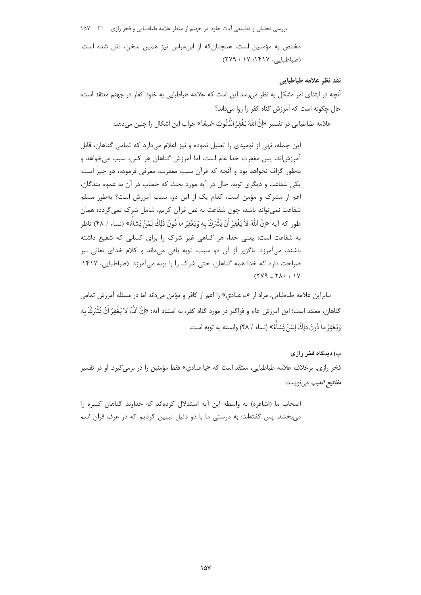بررسی تحلیلی و تطبیقی آیات خلود در جهنم از منظر علامه طباطبایی و فخر رازی □ 1 مختص به مؤمنین است، همچنان که از ابنعباس نیز همین سخن، نقل شده است. (طباطبایی، ۱۴۱۷: ۱۷ / ۲۷۹)

### نقد نظر علامه طباطبايي

آنچه در ابتدای امر مشکل به نظر میرسد این است که علامه طباطبایی به خلود کفار در جهنم معتقد است، حال چگونه است که آمرزش گناه کفر را روا می داند؟

علامه طباطبايي در تفسير «إنَّ اللهَ يَغْفِرُ الذُّنُوبَ جَمِيعًا» جواب اين اشكال را چنين مي دهد:

این جمله، نهی از نومیدی را تعلیل نموده و نیز اعلام میدارد که تمامی گناهان، قابل آمرزشاند، پس مغفرت خدا عام است، اما آمرزش گناهان هر کس، سبب میخواهد و بهطور گزاف نخواهد بود و آنچه که قرآن سبب مغفرت، معرفی فرموده، دو چیز است: يکي شفاعت و ديگري توبه. حال در آيه مورد بحث که خطاب در آن به عموم بندگان، اعم از مشرک و مؤمن است، کدام یک از این دو، سبب آمرزش است؟ بهطور مسلم شفاعت نمی تواند باشد؛ چون شفاعت به نص قرآن کریم، شامل شرک نمی گردد؛ همان طور كه آيه «إنَّ اللهَ لاٰ يَغْفِرُ أَنْ يُشْرَكَ بِهِ وَيَغْفِرُ ماٰ دُونَ ذٰلِكَ لِمَنْ يَشاٰءُ» (نساء / ۴۸) ناظر به شفاعت است؛ یعنی خدا، هر گناهی غیر شرک ,ا برای کسانی که شفیع داشته باشند، میآمرزد. ناگزیر از آن دو سبب، توبه باقی میماند و کلام خدای تعالی نیز صراحت دارد که خدا همه گناهان، حتی شرک را با توبه میآمرزد. (طباطبایی، ۱۴۱۷:  $(119 - 11)$ 

بنابراین علامه طباطبایی، مراد از «یاعبادی» را اعم از کافر و مؤمن میداند اما در مسئله آمرزش تمامی گناهان، معتقد است؛ این آمرزش عام و فراگیر در مورد گناه کفر، به استناد آیه: «اِنَّ اللّٰهَ لاٰ یَغْفِرُ اَنْ یُشْرَكَ به وَيَعْفِرُ ماْ دُونَ ذٰلِكَ لِمَنْ يَشاٰءُ» (نساء / ۴۸) وابسته به توبه است.

ب) دیدگاه فخر رازی فخر رازی، برخلاف علامه طباطبایی، معتقد است که «یا عبادی» فقط مؤمنین را در برمی¢یرد. او در تفسیر *مفاتيح الغيب* مي نويسد:

اصحاب ما (اشاعره) به واسطه این آیه استدلال کردهاند که خداوند گناهان کبیره ,ا میبخشد. پس گفتهاند: به درستی ما با دو دلیل تبیین کردیم که در عرف قران اسم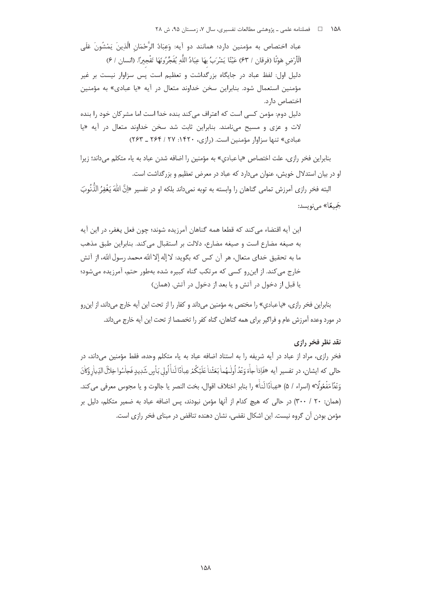عباد اختصاص به مؤمنين دارد؛ همانند دو آيه: وَعبَادُ الرَّحْمَانِ الَّذينَ يَمْشُونَ عَلَى الْأَرْضِ هَوْنًا (فرقان / ۶۳) عَيْنًا يَشْرَبُ بِهَا عِبَادُ اللَّهِ يُفَجِّرُونَهَا تَفْجِيرًا. (انسان / ۶) دلیل اول: لفظ عباد در جایگاه بزرگداشت و تعظیم است پس سزاوار نیست بر غیر مؤمنین استعمال شود. بنابراین سخن خداوند متعال در آیه «یا عبادی» به مؤمنین اختصاص دارد. دلیل دوم: مؤمن کسی است که اعتراف می کند بنده خدا است اما مشرکان خود را بنده لات و عزی و مسیح می نامند. بنابراین ثابت شد سخن خداوند متعال در آیه «یا عبادی» تنها سزاوار مؤمنین است. (رازی، ۱۴۲۰: ۲۷ / ۲۶۴ ـ ۲۶۳)

بنابراین فخر رازی، علت اختصاص «پاعبادی» به مؤمنین را اضافه شدن عباد به یاء متکلم می داند؛ زیرا او در بیان استدلال خویش، عنوان میدارد که عباد در معرض تعظیم و بزرگداشت است.

البته فخر رازی آمرزش تمامی گناهان را وابسته به توبه نمیداند بلکه او در تفسیر «اِنَّ اللّٰهَ يَغْفِرُ الذُّنُوبَ جَميعًا» مے نویسد:

این آیه اقتضاء می کند که قطعا همه گناهان آمرزیده شوند؛ چون فعل یغفر، در این آیه به صيغه مضارع است و صيغه مضارع، دلالت بر استقبال مي كند. بنابراين طبق مذهب ما به تحقيق خداي متعال، هر آن كس كه بگويد: لا إله إلا الله محمد رسول الله، از آتش خارج می کند. از این و کسی که مرتکب گناه کبیره شده بهطور حتم، آمرزیده می شود؛ يا قبل از دخول در آتش و يا بعد از دخول در آتش. (همان)

بنابراین فخر رازی، «پاعبادي» را مختص به مؤمنین میداند و کفار را از تحت این آیه خارج میداند، از این رو در مورد وعده آمرزش عام و فراگیر برای همه گناهان، گناه کفر را تخصصا از تحت این آیه خارج م ٫داند.

# نقد نظر فخر رازي

فخر رازی، مراد از عباد در آیه شریفه را به استناد اضافه عباد به یاء متکلم وحده، فقط مؤمنین می داند، در حالي كه ايشان، در تفسير آيه «فَإِذاْ جِأْءَ وَعُدُ أُولْيُهماٰ بَعَثْناٰ عَلَيْكُمْ عِباٰدًا لَنأَ أُولى بَأْسِ شَدِيدِ فَجاْسُوا خِلالَ الدِّياٰر وَكِأْنَ وَعُدَّا مَفْعُولًا» (اسراء / ۵) «عِباٰدًا لَناٰ» را بنابر اختلاف اقوال، بخت النصر يا جالوت و يا مجوس معرفي مي كند. (همان: ٣٠ / ٣٠٠) در حالي كه هيچ كدام از آنها مؤمن نبودند، پس اضافه عباد به ضمير متكلم، دليل بر مؤمن بودن آن گروه نیست. این اشکال نقضی، نشان دهنده تناقض در مبنای فخر رازی است.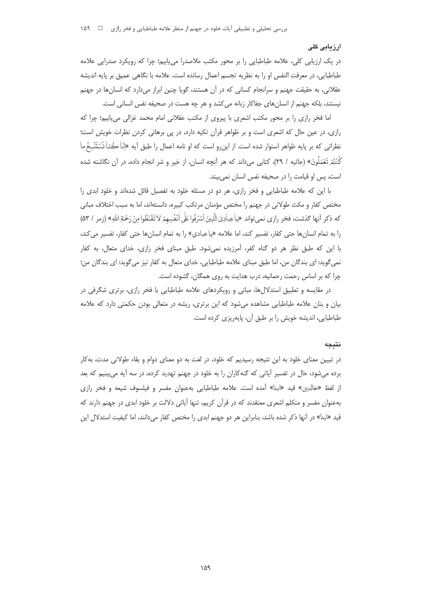### ار زیابی کلی

در یک ارزیابی کلی، علامه طباطبایی را بر محور مکتب ملاصدرا می،پابیم؛ چرا که رویکرد صدرایی علامه طباطبايي، در معرفت النفس او را به نظريه تجسم اعمال رسانده است. علامه با نگاهي عميق بر پايه انديشه عقلانی، به حقیقت جهنم و سرانجام کسانی که در آن هستند، گویا چنین ابراز میدارد که انسانها در جهنم نیستند، بلکه جهنم از انسانهای جفاکار زبانه میکشد و هر چه هست در صحیفه نفس انسانی است.

اما فخر رازی را بر محور مکتب اشعری با پیروی از مکتب عقلانی امام محمد غزالی می یابیم؛ چرا که رازی، در عین حال که اشعری است و بر ظواهر قرآن تکیه دارد، در پی برهانی کردن نظرات خویش است؛ نظراتی که بر پایه ظواهر استوار شده است. از این٫رو است که او نامه اعمال را طبق آیه «اِنّاْ كُدّاْ نَسَتَنْسِخُ ما كُنْتُمْ تَعْمَلُونَ» (جاثيه / ٢٩)، كتابي ميcاند كه هر آنچه انسان، از خير و شر انجام داده، در آن نگاشته شده است، پس او قیامت را در صحیفه نفس انسان نمی بیند.

با این که علامه طباطبایی و فخر رازی، هر دو در مسئله خلود به تفصیل قائل شدهاند و خلود ابدی را مختص کفار و مکث طولانی در جهنم را مختص مؤمنان مرتکب کبیره، دانستهاند، اما به سبب اختلاف مبانی كه ذكر أنها گذشت، فخر رازي نمي تواند «ياْعِباْدِيَ الَّذِينَ اَسْرَفُوا عَلَى اَنْفُسِهِمْ لاٰ تَقْنَطُوا مِنْ رَحْمَةِ اللهِ» (زمر / ۵۳) را به تمام انسانها حتى كفار، تفسير كند، اما علامه «ياعبادي» را به تمام انسانها حتى كفار، تفسير مي كند، با این که طبق نظر هر دو گناه کفر، آمرزیده نمیشود. طبق مبنای فخر رازی، خدای متعال، به کفار نمي گويد: اي بندگان من، اما طبق مبناي علامه طباطبايي، خداي متعال به كفار نيز مي گويد: اي بندگان من؛ چرا که بر اساس رحمت رحمانیه، درب هدایت به روی همگان، گشوده است.

در مقایسه و تطبیق استدلالها، مبانی و رویکردهای علامه طباطبایی با فخر رازی، برتری شگرفی در بیان و بنان علامه طباطبایی مشاهده میشود که این برتری، ریشه در متعالی بودن حکمتی دارد که علامه طباطبایی، اندیشه خویش را بر طبق آن، پایهریزی کرده است.

#### نتىحە

در تبیین معنای خلود به این نتیجه رسیدیم که خلود، در لغت به دو معنای دوام و بقاء طولانی مدت، به کار برده میشود، حال در تفسیر آیاتی که گنهکاران را به خلود در جهنم تهدید کرده، در سه آیه میبینیم که بعد از لفظ «خالدین» قید «ابدا» آمده است. علامه طباطبایی بهعنوان مفسر و فیلسوف شیعه و فخر رازی بهعنوان مفسر و متکلم اشعری معتقدند که در قرآن کریم، تنها آیاتی دلالت بر خلود ابدی در جهنم دارند که قید «ابدا» در آنها ذکر شده باشد، بنابراین هر دو جهنم ابدی را مختص کفار میدانند، اما کیفیت استدلال این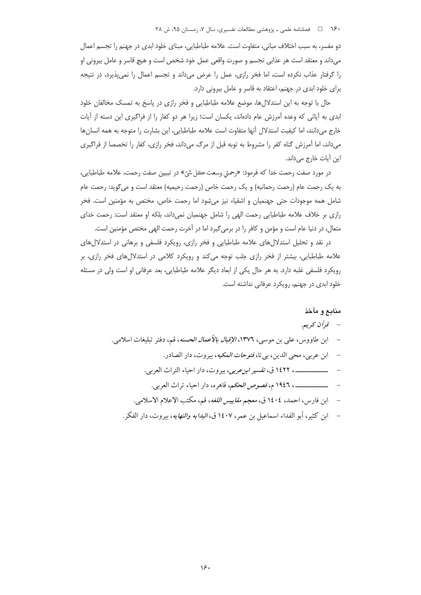دو مفسر، به سبب اختلاف مبانی، متفاوت است. علامه طباطبایی، مبنای خلود ابدی در جهنم را تجسم اعمال می داند و معتقد است هر عذابی تجسم و صورت واقعی عمل خود شخص است و هیچ قاسر و عامل بیرونی او را گرفتار عذاب نكرده است، اما فخر رازى، عمل را عرض مى داند و تجسم اعمال را نمى پذيرد، در نتيجه برای خلود ابدی در جهنم، اعتقاد به قاسر و عامل بیرونی دارد.

حال با توجه به این استدلال ها، موضع علامه طباطبایی و فخر رازی در پاسخ به تمسک مخالفان خلود ابدی به آیاتی که وعده آمرزش عام دادهاند، یکسان است؛ زیرا هر دو کفار را از فراگیری این دسته از آیات خارج میدانند، اما کیفیت استدلال آنها متفاوت است علامه طباطبایی، این بشارت را متوجه به همه انسانها میداند، اما اَمرزش گناه کفر را مشروط به توبه قبل از مرگ میداند، فخر رازی، کفار را تخصصا از فراگیری این آیات خارج میداند.

در مورد صفت رحمت خدا كه فرمود: «رحمتي وسعت كل شئ» در تبيين صفت رحمت، علامه طباطبايي، به یک رحمت عام (رحمت رحمانیه) و یک رحمت خاص (رحمت رحیمیه) معتقد است و میگوید: رحمت عام شامل همه موجودات حتی جهنمیان و اشقیاء نیز میشود اما رحمت خاص، مختص به مؤمنین است. فخر رازي بر خلاف علامه طباطبايي رحمت الهي را شامل جهنميان نمي داند، بلكه او معتقد است: رحمت خداي متعال، در دنیا عام است و مؤمن و کافر را در برمی گیرد اما در آخرت رحمت الهی مختص مؤمنین است.

در نقد و تحلیل استدلال های علامه طباطبایی و فخر رازی، رویکرد فلسفی و برهانی در استدلال های علامه طباطبایی، بیشتر از فخر رازی جلب توجه می کند و رویکرد کلامی در استدلال های فخر رازی، بر رویکرد فلسفی غلبه دارد. به هر حال یکی از ابعاد دیگر علامه طباطبایی، بعد عرفانی او است ولی در مسئله خلود ابدی در جهنم، رویکرد عرفانی نداشته است.

# منابع و مآخذ

- ابن طاووس، علي بن موسى، ١٣٧٦، *الإقبال بالأعمال الحسنه*، قم، دفتر تبليغات اسلامي.
	- ابن عربي، محي الدين، بي تا، *فتوحات المكيه*، بيروت، دار الصادر .
	- \_\_\_\_\_\_\_\_\_\_\_\_\_\_ ، ١٤٢٢ ق، تفسير *ابن عربي*، بيروت، دار احياء التراث العربي.
		- مستنسست ، ١٩٤٦ م، *فصوص الحكم*، قاهره، دار احياء تراث العربي.
	- ابن فارس، احمد، ١٤٠٤ ق، *معجم مقاييس اللغه*، قم، مكتب الاعلام الاسلامي.
	- ابن كثير، أبو الفداء اسماعيل بن عمر، ١٤٠٧ ق، *البدايه والنهايه*، بيروت، دار الفكر .